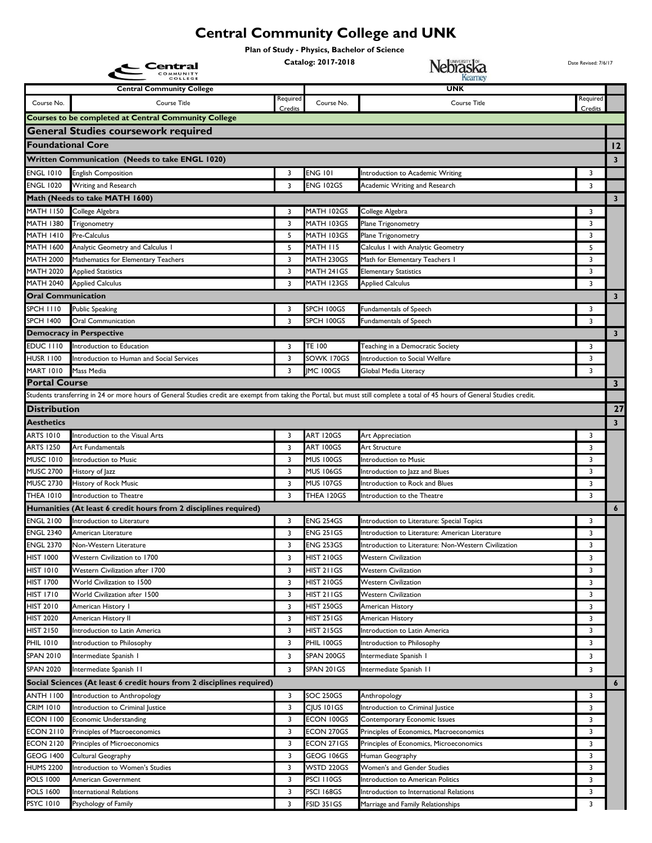## **Central Community College and UNK**

**Plan of Study - Physics, Bachelor of Science** 

|                                      | Central                                                                                                                                                                       |          | Catalog: 2017-2018              | Nebraska                                             | Date Revised: 7/6/17    |                         |
|--------------------------------------|-------------------------------------------------------------------------------------------------------------------------------------------------------------------------------|----------|---------------------------------|------------------------------------------------------|-------------------------|-------------------------|
|                                      |                                                                                                                                                                               |          |                                 |                                                      |                         |                         |
|                                      | <b>Central Community College</b>                                                                                                                                              | Required |                                 | <b>UNK</b>                                           | Required                |                         |
| Course No.                           | Course Title                                                                                                                                                                  | Credits  | Course No.                      | <b>Course Title</b>                                  | Credits                 |                         |
|                                      | <b>Courses to be completed at Central Community College</b>                                                                                                                   |          |                                 |                                                      |                         |                         |
|                                      | General Studies coursework required                                                                                                                                           |          |                                 |                                                      |                         |                         |
| <b>Foundational Core</b>             |                                                                                                                                                                               |          |                                 |                                                      |                         | $ 12\rangle$            |
|                                      | Written Communication (Needs to take ENGL 1020)                                                                                                                               |          |                                 |                                                      |                         | $\overline{\mathbf{3}}$ |
| <b>ENGL 1010</b>                     | <b>English Composition</b>                                                                                                                                                    | 3        | <b>ENG 101</b>                  | Introduction to Academic Writing                     | 3                       |                         |
| <b>ENGL 1020</b>                     | Writing and Research                                                                                                                                                          | 3        | ENG 102GS                       | Academic Writing and Research                        | 3                       |                         |
|                                      | Math (Needs to take MATH 1600)                                                                                                                                                |          |                                 |                                                      |                         | $\overline{\mathbf{3}}$ |
| MATH 1150                            | College Algebra                                                                                                                                                               | 3        | MATH 102GS                      | College Algebra                                      | 3                       |                         |
| MATH 1380<br>MATH 1410               | Trigonometry<br>Pre-Calculus                                                                                                                                                  | 3<br>5   | MATH 103GS<br>MATH 103GS        | Plane Trigonometry<br>Plane Trigonometry             | 3<br>3                  |                         |
| MATH 1600                            | Analytic Geometry and Calculus I                                                                                                                                              | 5        | MATH 115                        | Calculus I with Analytic Geometry                    | 5                       |                         |
| <b>MATH 2000</b>                     | Mathematics for Elementary Teachers                                                                                                                                           | 3        | MATH 230GS                      | Math for Elementary Teachers I                       | 3                       |                         |
| MATH 2020                            | <b>Applied Statistics</b>                                                                                                                                                     | 3        | MATH 241GS                      | <b>Elementary Statistics</b>                         | 3                       |                         |
| MATH 2040                            | <b>Applied Calculus</b>                                                                                                                                                       | 3        | MATH 123GS                      | <b>Applied Calculus</b>                              | 3                       |                         |
| <b>Oral Communication</b>            |                                                                                                                                                                               |          |                                 |                                                      |                         | $\overline{\mathbf{3}}$ |
| SPCH 1110                            | <b>Public Speaking</b>                                                                                                                                                        | 3        | SPCH 100GS                      | Fundamentals of Speech                               | 3                       |                         |
| <b>SPCH 1400</b>                     | <b>Oral Communication</b>                                                                                                                                                     | 3        | SPCH 100GS                      | Fundamentals of Speech                               | 3                       |                         |
|                                      | <b>Democracy in Perspective</b>                                                                                                                                               |          |                                 |                                                      |                         | $\overline{\mathbf{3}}$ |
| EDUC III0                            | Introduction to Education                                                                                                                                                     | 3        | TE 100                          | Teaching in a Democratic Society                     | 3                       |                         |
| <b>HUSR 1100</b>                     | Introduction to Human and Social Services                                                                                                                                     | 3        | SOWK 170GS                      | Introduction to Social Welfare                       | 3                       |                         |
| <b>MART 1010</b>                     | Mass Media                                                                                                                                                                    | 3        | <b>IMC 100GS</b>                | Global Media Literacy                                | 3                       |                         |
| <b>Portal Course</b>                 |                                                                                                                                                                               |          |                                 |                                                      |                         | $\mathbf{3}$            |
|                                      | Students transferring in 24 or more hours of General Studies credit are exempt from taking the Portal, but must still complete a total of 45 hours of General Studies credit. |          |                                 |                                                      |                         |                         |
| Distribution                         |                                                                                                                                                                               |          |                                 |                                                      |                         | 27                      |
| Aesthetics                           |                                                                                                                                                                               |          |                                 |                                                      |                         | $\overline{\mathbf{3}}$ |
| ARTS 1010                            | Introduction to the Visual Arts                                                                                                                                               | 3        | <b>ART 120GS</b>                | Art Appreciation                                     | 3                       |                         |
| ARTS 1250                            | Art Fundamentals                                                                                                                                                              | 3        | ART 100GS                       | Art Structure                                        | 3                       |                         |
| <b>MUSC 1010</b>                     | Introduction to Music                                                                                                                                                         | 3        | MUS 100GS                       | Introduction to Music                                | 3                       |                         |
| <b>MUSC 2700</b>                     | History of Jazz                                                                                                                                                               | 3        | <b>MUS 106GS</b>                | Introduction to Jazz and Blues                       | 3                       |                         |
| <b>MUSC 2730</b>                     | History of Rock Music                                                                                                                                                         | 3        | <b>MUS 107GS</b>                | Introduction to Rock and Blues                       | 3                       |                         |
| THEA 1010                            | Introduction to Theatre                                                                                                                                                       | 3        | THEA 120GS                      | Introduction to the Theatre                          | $\overline{\mathbf{3}}$ |                         |
|                                      | Humanities (At least 6 credit hours from 2 disciplines required)                                                                                                              |          |                                 |                                                      |                         | $\boldsymbol{6}$        |
| <b>ENGL 2100</b>                     | Introduction to Literature                                                                                                                                                    | 3        | <b>ENG 254GS</b>                | Introduction to Literature: Special Topics           | 3                       |                         |
| <b>ENGL 2340</b>                     | American Literature                                                                                                                                                           | 3        | <b>ENG 251GS</b>                | Introduction to Literature: American Literature      | 3                       |                         |
| <b>ENGL 2370</b>                     | Non-Western Literature                                                                                                                                                        | 3        | <b>ENG 253GS</b>                | Introduction to Literature: Non-Western Civilization | 3                       |                         |
| HIST 1000                            | Western Civilization to 1700                                                                                                                                                  | 3        | <b>HIST 210GS</b>               | <b>Western Civilization</b>                          | 3                       |                         |
| <b>HIST 1010</b>                     | Western Civilization after 1700                                                                                                                                               | 3        | HIST 211GS                      | <b>Western Civilization</b>                          | 3                       |                         |
| <b>HIST 1700</b>                     | World Civilization to 1500                                                                                                                                                    | 3        | <b>HIST 210GS</b>               | <b>Western Civilization</b>                          | 3                       |                         |
| <b>HIST 1710</b>                     | World Civilization after 1500                                                                                                                                                 | 3        | HIST 211GS                      | <b>Western Civilization</b>                          | 3                       |                         |
| <b>HIST 2010</b><br><b>HIST 2020</b> | American History I<br>American History II                                                                                                                                     | 3<br>3   | <b>HIST 250GS</b><br>HIST 251GS | American History<br>American History                 | 3<br>3                  |                         |
| <b>HIST 2150</b>                     | Introduction to Latin America                                                                                                                                                 | 3        | <b>HIST 215GS</b>               | Introduction to Latin America                        | 3                       |                         |
| <b>PHIL 1010</b>                     | Introduction to Philosophy                                                                                                                                                    | 3        | PHIL 100GS                      | Introduction to Philosophy                           | 3                       |                         |
| <b>SPAN 2010</b>                     | Intermediate Spanish I                                                                                                                                                        | 3        | SPAN 200GS                      | Intermediate Spanish I                               | 3                       |                         |
| <b>SPAN 2020</b>                     | Intermediate Spanish II                                                                                                                                                       | 3        | SPAN 201GS                      | Intermediate Spanish II                              | 3                       |                         |
|                                      | Social Sciences (At least 6 credit hours from 2 disciplines required)                                                                                                         |          |                                 |                                                      |                         | $\boldsymbol{6}$        |
| ANTH 1100                            |                                                                                                                                                                               | 3        | SOC 250GS                       |                                                      |                         |                         |
| CRIM 1010                            | Introduction to Anthropology<br>Introduction to Criminal Justice                                                                                                              | 3        | CJUS 101GS                      | Anthropology<br>Introduction to Criminal Justice     | 3<br>3                  |                         |
| <b>ECON 1100</b>                     | <b>Economic Understanding</b>                                                                                                                                                 | 3        | ECON 100GS                      | Contemporary Economic Issues                         | 3                       |                         |
| <b>ECON 2110</b>                     | Principles of Macroeconomics                                                                                                                                                  | 3        | ECON 270GS                      | Principles of Economics, Macroeconomics              | 3                       |                         |
| <b>ECON 2120</b>                     | Principles of Microeconomics                                                                                                                                                  | 3        | ECON 271GS                      | Principles of Economics, Microeconomics              | 3                       |                         |
| GEOG 1400                            | Cultural Geography                                                                                                                                                            | 3        | GEOG 106GS                      | Human Geography                                      | 3                       |                         |
| <b>HUMS 2200</b>                     | Introduction to Women's Studies                                                                                                                                               | 3        | WSTD 220GS                      | Women's and Gender Studies                           | 3                       |                         |
| <b>POLS 1000</b>                     | American Government                                                                                                                                                           | 3        | PSCI I I 0GS                    | Introduction to American Politics                    | 3                       |                         |
| <b>POLS 1600</b>                     | International Relations                                                                                                                                                       | 3        | PSCI 168GS                      | Introduction to International Relations              | 3                       |                         |
| <b>PSYC 1010</b>                     | Psychology of Family                                                                                                                                                          | 3        | FSID 351GS                      | Marriage and Family Relationships                    | 3                       |                         |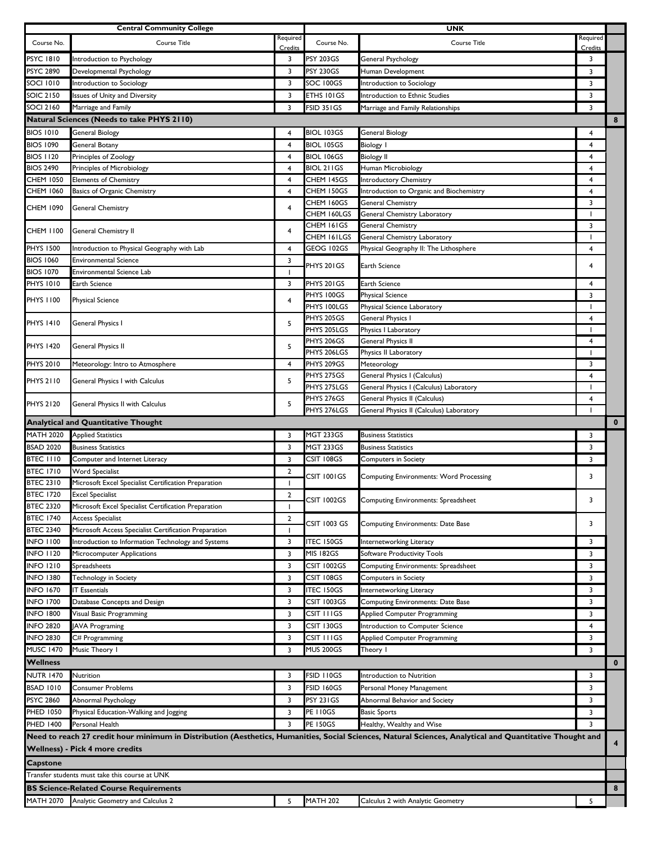| <b>Central Community College</b>     |                                                                                             |                | <b>UNK</b>                |                                                                                                                                                          |                               |                         |
|--------------------------------------|---------------------------------------------------------------------------------------------|----------------|---------------------------|----------------------------------------------------------------------------------------------------------------------------------------------------------|-------------------------------|-------------------------|
| Course No.                           | Course Title                                                                                | Required       | Course No.                | Course Title                                                                                                                                             | Required                      |                         |
| <b>PSYC 1810</b>                     | Introduction to Psychology                                                                  | Credits<br>3   | PSY 203GS                 | General Psychology                                                                                                                                       | Credits<br>3                  |                         |
| PSYC 2890                            | Developmental Psychology                                                                    | 3              | <b>PSY 230GS</b>          | Human Development                                                                                                                                        | 3                             |                         |
| <b>SOCI 1010</b>                     | Introduction to Sociology                                                                   | 3              | SOC 100GS                 | Introduction to Sociology                                                                                                                                | 3                             |                         |
| <b>SOIC 2150</b>                     | Issues of Unity and Diversity                                                               | 3              | ETHS 101GS                | Introduction to Ethnic Studies                                                                                                                           | 3                             |                         |
| <b>SOCI 2160</b>                     | Marriage and Family                                                                         | 3              | FSID 351GS                | Marriage and Family Relationships                                                                                                                        | 3                             |                         |
|                                      | <b>Natural Sciences (Needs to take PHYS 2110)</b>                                           |                |                           |                                                                                                                                                          |                               | 8                       |
| <b>BIOS 1010</b>                     | General Biology                                                                             | 4              | <b>BIOL 103GS</b>         | General Biology                                                                                                                                          | 4                             |                         |
| <b>BIOS 1090</b>                     | General Botany                                                                              | 4              | <b>BIOL 105GS</b>         | <b>Biology I</b>                                                                                                                                         | 4                             |                         |
| <b>BIOS 1120</b>                     | Principles of Zoology                                                                       | 4              | <b>BIOL 106GS</b>         | <b>Biology II</b>                                                                                                                                        | 4                             |                         |
| <b>BIOS 2490</b>                     | Principles of Microbiology                                                                  | 4              | BIOL 211GS                | Human Microbiology                                                                                                                                       | 4                             |                         |
| <b>CHEM 1050</b>                     | <b>Elements of Chemistry</b>                                                                | 4              | CHEM 145GS                | <b>Introductory Chemistry</b>                                                                                                                            | 4                             |                         |
| CHEM 1060                            | Basics of Organic Chemistry                                                                 | 4              | CHEM 150GS                | Introduction to Organic and Biochemistry                                                                                                                 | 4                             |                         |
| CHEM 1090                            | <b>General Chemistry</b>                                                                    | 4              | CHEM 160GS                | General Chemistry                                                                                                                                        | 3                             |                         |
|                                      |                                                                                             |                | CHEM 160LGS               | General Chemistry Laboratory                                                                                                                             | $\overline{\phantom{a}}$<br>3 |                         |
| CHEM 1100                            | General Chemistry II                                                                        | 4              | CHEM 161GS<br>CHEM 161LGS | <b>General Chemistry</b><br>General Chemistry Laboratory                                                                                                 | $\overline{\phantom{a}}$      |                         |
| <b>PHYS 1500</b>                     | Introduction to Physical Geography with Lab                                                 | 4              | GEOG 102GS                | Physical Geography II: The Lithosphere                                                                                                                   | 4                             |                         |
| <b>BIOS 1060</b>                     | <b>Environmental Science</b>                                                                | 3              |                           |                                                                                                                                                          |                               |                         |
| <b>BIOS 1070</b>                     | Environmental Science Lab                                                                   |                | PHYS 201GS                | Earth Science                                                                                                                                            | 4                             |                         |
| <b>PHYS 1010</b>                     | Earth Science                                                                               | 3              | PHYS 201GS                | Earth Science                                                                                                                                            | $\overline{4}$                |                         |
|                                      |                                                                                             | 4              | PHYS 100GS                | <b>Physical Science</b>                                                                                                                                  | 3                             |                         |
| PHYS 1100                            | <b>Physical Science</b>                                                                     |                | PHYS 100LGS               | Physical Science Laboratory                                                                                                                              | $\overline{\phantom{a}}$      |                         |
| <b>PHYS 1410</b>                     | General Physics I                                                                           | 5              | <b>PHYS 205GS</b>         | General Physics I                                                                                                                                        | 4                             |                         |
|                                      |                                                                                             |                | PHYS 205LGS               | Physics I Laboratory                                                                                                                                     | $\overline{\phantom{a}}$      |                         |
| <b>PHYS 1420</b>                     | General Physics II                                                                          | 5              | <b>PHYS 206GS</b>         | General Physics II                                                                                                                                       | 4                             |                         |
|                                      |                                                                                             |                | PHYS 206LGS               | Physics II Laboratory                                                                                                                                    |                               |                         |
| <b>PHYS 2010</b>                     | Meteorology: Intro to Atmosphere                                                            | 4              | PHYS 209GS<br>PHYS 275GS  | Meteorology<br>General Physics I (Calculus)                                                                                                              | 3<br>4                        |                         |
| <b>PHYS 2110</b>                     | General Physics I with Calculus                                                             | 5              | PHYS 275LGS               | General Physics I (Calculus) Laboratory                                                                                                                  | -1                            |                         |
|                                      |                                                                                             |                | PHYS 276GS                | General Physics II (Calculus)                                                                                                                            | 4                             |                         |
| <b>PHYS 2120</b>                     | General Physics II with Calculus                                                            | 5              | PHYS 276LGS               | General Physics II (Calculus) Laboratory                                                                                                                 | $\blacksquare$                |                         |
|                                      | <b>Analytical and Quantitative Thought</b>                                                  |                |                           |                                                                                                                                                          |                               | $\bf{0}$                |
| <b>MATH 2020</b>                     | <b>Applied Statistics</b>                                                                   | 3              | <b>MGT 233GS</b>          | <b>Business Statistics</b>                                                                                                                               | 3                             |                         |
| <b>BSAD 2020</b>                     | <b>Business Statistics</b>                                                                  | 3              | MGT 233GS                 | <b>Business Statistics</b>                                                                                                                               | 3                             |                         |
| <b>BTEC 1110</b>                     | Computer and Internet Literacy                                                              | 3              | CSIT 108GS                | Computers in Society                                                                                                                                     | 3                             |                         |
| <b>BTEC 1710</b>                     | <b>Word Specialist</b>                                                                      | $\overline{2}$ | CSIT 1001GS               | <b>Computing Environments: Word Processing</b>                                                                                                           | 3                             |                         |
| <b>BTEC 2310</b>                     | Microsoft Excel Specialist Certification Preparation                                        | I.             |                           |                                                                                                                                                          |                               |                         |
| <b>BTEC 1720</b>                     | <b>Excel Specialist</b>                                                                     | $\overline{2}$ | CSIT 1002GS               | Computing Environments: Spreadsheet                                                                                                                      | 3                             |                         |
| <b>BTEC 2320</b><br><b>BTEC 1740</b> | Microsoft Excel Specialist Certification Preparation<br><b>Access Specialist</b>            | $\overline{2}$ |                           |                                                                                                                                                          |                               |                         |
| <b>BTEC 2340</b>                     | Microsoft Access Specialist Certification Preparation                                       | -1             | CSIT 1003 GS              | Computing Environments: Date Base                                                                                                                        | 3                             |                         |
| <b>INFO 1100</b>                     | Introduction to Information Technology and Systems                                          | 3              | <b>TEC 150GS</b>          | Internetworking Literacy                                                                                                                                 | 3                             |                         |
| <b>INFO 1120</b>                     | Microcomputer Applications                                                                  | 3              | MIS 182GS                 | Software Productivity Tools                                                                                                                              | 3                             |                         |
| <b>INFO 1210</b>                     | Spreadsheets                                                                                | 3              | CSIT 1002GS               | Computing Environments: Spreadsheet                                                                                                                      | 3                             |                         |
| <b>INFO 1380</b>                     | Technology in Society                                                                       | 3              | CSIT 108GS                | <b>Computers in Society</b>                                                                                                                              | 3                             |                         |
| <b>INFO 1670</b>                     | <b>IT Essentials</b>                                                                        | 3              | <b>ITEC 150GS</b>         | Internetworking Literacy                                                                                                                                 | 3                             |                         |
| <b>INFO 1700</b>                     | Database Concepts and Design                                                                | 3              | CSIT 1003GS               | <b>Computing Environments: Date Base</b>                                                                                                                 | 3                             |                         |
| <b>INFO 1800</b>                     | Visual Basic Programming                                                                    | 3              | CSIT I I I GS             | <b>Applied Computer Programming</b>                                                                                                                      | 3                             |                         |
| <b>INFO 2820</b>                     | <b>JAVA Programing</b>                                                                      | 3              | CSIT 130GS                | Introduction to Computer Science                                                                                                                         | 4                             |                         |
| <b>INFO 2830</b>                     | C# Programming                                                                              | 3              | CSIT I I I GS             | Applied Computer Programming                                                                                                                             | 3                             |                         |
| <b>MUSC 1470</b>                     | Music Theory I                                                                              | 3              | <b>MUS 200GS</b>          | Theory I                                                                                                                                                 | 3                             |                         |
| <b>Wellness</b>                      |                                                                                             |                |                           |                                                                                                                                                          |                               | $\mathbf{0}$            |
| NUTR 1470                            |                                                                                             |                |                           |                                                                                                                                                          |                               |                         |
|                                      | Nutrition                                                                                   | 3              | FSID I I OGS              | Introduction to Nutrition                                                                                                                                | 3                             |                         |
| <b>BSAD 1010</b>                     | Consumer Problems                                                                           | 3              | FSID 160GS                | Personal Money Management                                                                                                                                | 3                             |                         |
| <b>PSYC 2860</b>                     | Abnormal Psychology                                                                         | 3              | PSY 231GS                 | Abnormal Behavior and Society                                                                                                                            | 3                             |                         |
| PHED 1050                            | Physical Education-Walking and Jogging                                                      | 3              | <b>PE 110GS</b>           | <b>Basic Sports</b>                                                                                                                                      | 3                             |                         |
| <b>PHED 1400</b>                     | Personal Health                                                                             | 3              | <b>PE 150GS</b>           | Healthy, Wealthy and Wise                                                                                                                                | 3                             |                         |
|                                      |                                                                                             |                |                           | Need to reach 27 credit hour minimum in Distribution (Aesthetics, Humanities, Social Sciences, Natural Sciences, Analytical and Quantitative Thought and |                               | $\overline{\mathbf{4}}$ |
|                                      | Wellness) - Pick 4 more credits                                                             |                |                           |                                                                                                                                                          |                               |                         |
| <b>Capstone</b>                      |                                                                                             |                |                           |                                                                                                                                                          |                               |                         |
|                                      | Transfer students must take this course at UNK                                              |                |                           |                                                                                                                                                          |                               |                         |
|                                      | <b>BS Science-Related Course Requirements</b><br>MATH 2070 Analytic Geometry and Calculus 2 | 5              | <b>MATH 202</b>           | Calculus 2 with Analytic Geometry                                                                                                                        | 5                             | 8                       |